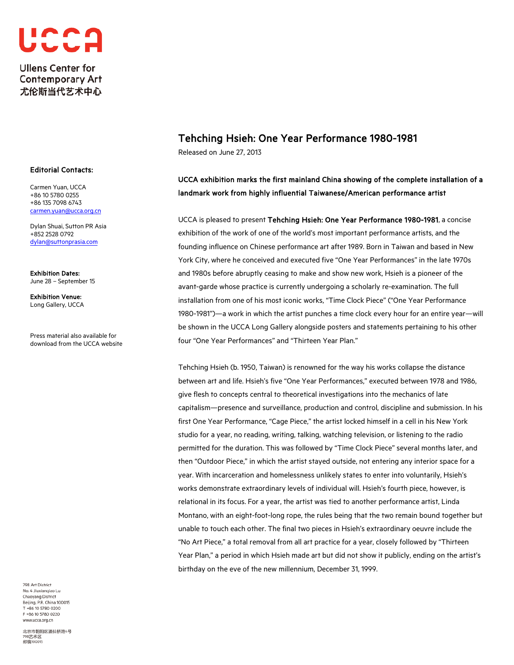

### Editorial Contacts:

Carmen Yuan, UCCA +86 10 5780 0255 +86 135 7098 6743 [carmen.yuan@ucca.org.cn](mailto:carmen.yuan@ucca.org.cn)

Dylan Shuai, Sutton PR Asia +852 2528 0792 [dylan@suttonprasia.com](mailto:dylan@suttonprasia.com) 

Exhibition Dates: June 28 – September 15

Exhibition Venue: Long Gallery, UCCA

Press material also available for download from the UCCA website

# Tehching Hsieh: One Year Performance 1980-1981

Released on June 27, 2013

# UCCA exhibition marks the first mainland China showing of the complete installation of a landmark work from highly influential Taiwanese/American performance artist

UCCA is pleased to present Tehching Hsieh: One Year Performance 1980-1981, a concise exhibition of the work of one of the world's most important performance artists, and the founding influence on Chinese performance art after 1989. Born in Taiwan and based in New York City, where he conceived and executed five "One Year Performances" in the late 1970s and 1980s before abruptly ceasing to make and show new work, Hsieh is a pioneer of the avant-garde whose practice is currently undergoing a scholarly re-examination. The full installation from one of his most iconic works, "Time Clock Piece" ("One Year Performance 1980-1981")—a work in which the artist punches a time clock every hour for an entire year—will be shown in the UCCA Long Gallery alongside posters and statements pertaining to his other four "One Year Performances" and "Thirteen Year Plan."

Tehching Hsieh (b. 1950, Taiwan) is renowned for the way his works collapse the distance between art and life. Hsieh's five "One Year Performances," executed between 1978 and 1986, give flesh to concepts central to theoretical investigations into the mechanics of late capitalism—presence and surveillance, production and control, discipline and submission. In his first One Year Performance, "Cage Piece," the artist locked himself in a cell in his New York studio for a year, no reading, writing, talking, watching television, or listening to the radio permitted for the duration. This was followed by "Time Clock Piece" several months later, and then "Outdoor Piece," in which the artist stayed outside, not entering any interior space for a year. With incarceration and homelessness unlikely states to enter into voluntarily, Hsieh's works demonstrate extraordinary levels of individual will. Hsieh's fourth piece, however, is relational in its focus. For a year, the artist was tied to another performance artist, Linda Montano, with an eight-foot-long rope, the rules being that the two remain bound together but unable to touch each other. The final two pieces in Hsieh's extraordinary oeuvre include the "No Art Piece," a total removal from all art practice for a year, closely followed by "Thirteen Year Plan," a period in which Hsieh made art but did not show it publicly, ending on the artist's birthday on the eve of the new millennium, December 31, 1999.

798 Art District No. 4 Jiuxiangiao Lu Chaoyang District Beijing, P.R. China 100015 T +86 10 5780 0200 F +86 10 5780 0220 www.ucca.org.cn

北京市朝阳区酒仙桥路4号 -<br>798艺术区 邮编100015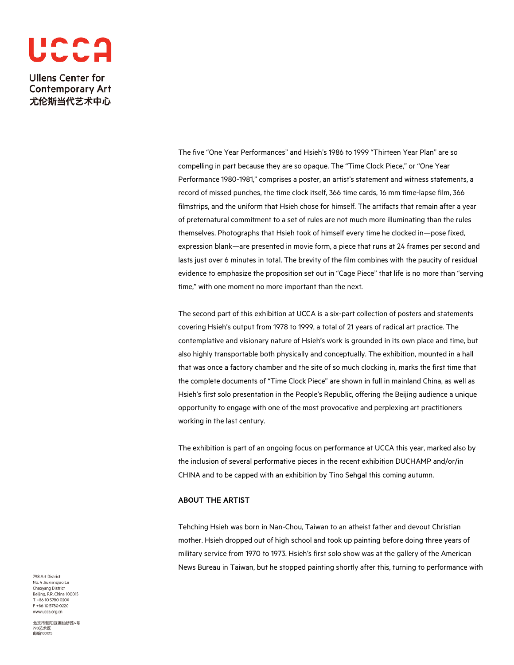

> The five "One Year Performances" and Hsieh's 1986 to 1999 "Thirteen Year Plan" are so compelling in part because they are so opaque. The "Time Clock Piece," or "One Year Performance 1980-1981," comprises a poster, an artist's statement and witness statements, a record of missed punches, the time clock itself, 366 time cards, 16 mm time-lapse film, 366 filmstrips, and the uniform that Hsieh chose for himself. The artifacts that remain after a year of preternatural commitment to a set of rules are not much more illuminating than the rules themselves. Photographs that Hsieh took of himself every time he clocked in—pose fixed, expression blank—are presented in movie form, a piece that runs at 24 frames per second and lasts just over 6 minutes in total. The brevity of the film combines with the paucity of residual evidence to emphasize the proposition set out in "Cage Piece" that life is no more than "serving time," with one moment no more important than the next.

The second part of this exhibition at UCCA is a six-part collection of posters and statements covering Hsieh's output from 1978 to 1999, a total of 21 years of radical art practice. The contemplative and visionary nature of Hsieh's work is grounded in its own place and time, but also highly transportable both physically and conceptually. The exhibition, mounted in a hall that was once a factory chamber and the site of so much clocking in, marks the first time that the complete documents of "Time Clock Piece" are shown in full in mainland China, as well as Hsieh's first solo presentation in the People's Republic, offering the Beijing audience a unique opportunity to engage with one of the most provocative and perplexing art practitioners working in the last century.

The exhibition is part of an ongoing focus on performance at UCCA this year, marked also by the inclusion of several performative pieces in the recent exhibition DUCHAMP and/or/in CHINA and to be capped with an exhibition by Tino Sehgal this coming autumn.

### ABOUT THE ARTIST

Tehching Hsieh was born in Nan-Chou, Taiwan to an atheist father and devout Christian mother. Hsieh dropped out of high school and took up painting before doing three years of military service from 1970 to 1973. Hsieh's first solo show was at the gallery of the American News Bureau in Taiwan, but he stopped painting shortly after this, turning to performance with

798 Art District No. 4 Jiuxiangiao Lu Chaoyang District Beijing, P.R. China 100015 T +86 10 5780 0200 F +86 10 5780 0220 www.ucca.org.cn

北京市朝阳区酒仙桥路4号 798艺术区 邮编100015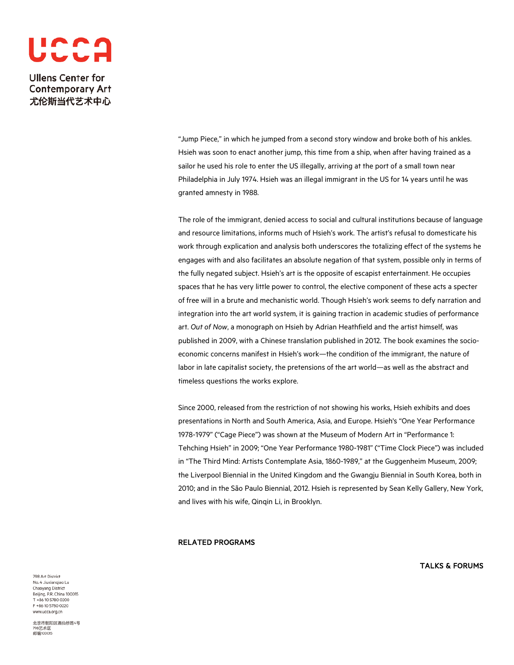# UCCA

**Ullens Center for Contemporary Art** 尤伦斯当代艺术中心

> "Jump Piece," in which he jumped from a second story window and broke both of his ankles. Hsieh was soon to enact another jump, this time from a ship, when after having trained as a sailor he used his role to enter the US illegally, arriving at the port of a small town near Philadelphia in July 1974. Hsieh was an illegal immigrant in the US for 14 years until he was granted amnesty in 1988.

The role of the immigrant, denied access to social and cultural institutions because of language and resource limitations, informs much of Hsieh's work. The artist's refusal to domesticate his work through explication and analysis both underscores the totalizing effect of the systems he engages with and also facilitates an absolute negation of that system, possible only in terms of the fully negated subject. Hsieh's art is the opposite of escapist entertainment. He occupies spaces that he has very little power to control, the elective component of these acts a specter of free will in a brute and mechanistic world. Though Hsieh's work seems to defy narration and integration into the art world system, it is gaining traction in academic studies of performance art. *Out of Now*, a monograph on Hsieh by Adrian Heathfield and the artist himself, was published in 2009, with a Chinese translation published in 2012. The book examines the socioeconomic concerns manifest in Hsieh's work—the condition of the immigrant, the nature of labor in late capitalist society, the pretensions of the art world—as well as the abstract and timeless questions the works explore.

Since 2000, released from the restriction of not showing his works, Hsieh exhibits and does presentations in North and South America, Asia, and Europe. Hsieh's "One Year Performance 1978-1979" ("Cage Piece") was shown at the Museum of Modern Art in "Performance 1: Tehching Hsieh" in 2009; "One Year Performance 1980-1981" ("Time Clock Piece") was included in "The Third Mind: Artists Contemplate Asia, 1860-1989," at the Guggenheim Museum, 2009; the Liverpool Biennial in the United Kingdom and the Gwangju Biennial in South Korea, both in 2010; and in the São Paulo Biennial, 2012. Hsieh is represented by Sean Kelly Gallery, New York, and lives with his wife, Qinqin Li, in Brooklyn.

#### RELATED PROGRAMS

TALKS & FORUMS

798 Art District No. 4 Jiuxiangiao Lu Chaoyang District Beijing, P.R. China 100015 T +86 10 5780 0200 F +86 10 5780 0220 www.ucca.org.cn

北京市朝阳区酒仙桥路4号 798艺术区 邮编100015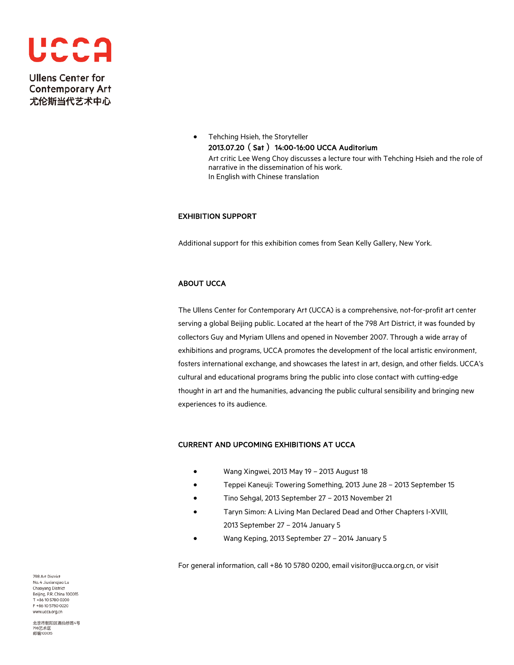

> • Tehching Hsieh, the Storyteller 2013.07.20(Sat) 14:00-16:00 UCCA Auditorium Art critic Lee Weng Choy discusses a lecture tour with Tehching Hsieh and the role of narrative in the dissemination of his work. In English with Chinese translation

### EXHIBITION SUPPORT

Additional support for this exhibition comes from Sean Kelly Gallery, New York.

## ABOUT UCCA

The Ullens Center for Contemporary Art (UCCA) is a comprehensive, not-for-profit art center serving a global Beijing public. Located at the heart of the 798 Art District, it was founded by collectors Guy and Myriam Ullens and opened in November 2007. Through a wide array of exhibitions and programs, UCCA promotes the development of the local artistic environment, fosters international exchange, and showcases the latest in art, design, and other fields. UCCA's cultural and educational programs bring the public into close contact with cutting-edge thought in art and the humanities, advancing the public cultural sensibility and bringing new experiences to its audience.

### CURRENT AND UPCOMING EXHIBITIONS AT UCCA

- Wang Xingwei, 2013 May 19 2013 August 18
- Teppei Kaneuji: Towering Something, 2013 June 28 2013 September 15
- Tino Sehgal, 2013 September 27 2013 November 21
- Taryn Simon: A Living Man Declared Dead and Other Chapters I-XVIII, 2013 September 27 – 2014 January 5
- Wang Keping, 2013 September 27 2014 January 5

For general information, call +86 10 5780 0200, email visitor@ucca.org.cn, or visit

798 Art District No. 4 Jiuxiangiao Lu Chaoyang District Beijing, P.R. China 100015 T +86 10 5780 0200 F +86 10 5780 0220 www.ucca.org.cn

北京市朝阳区酒仙桥路4号 798艺术区 邮编100015